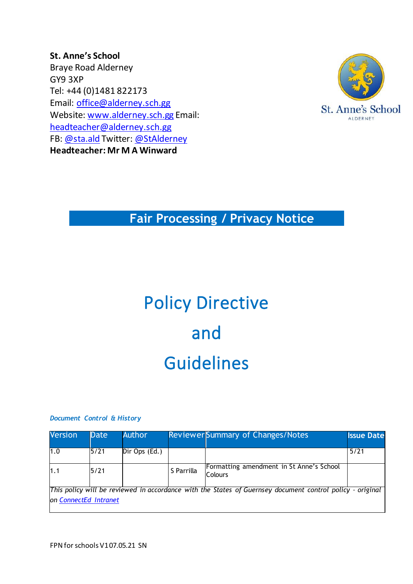**St. Anne's School** Braye Road Alderney GY9 3XP Tel: +44 (0)1481 822173 Email: [office@alderney.sch.gg](mailto:office@alderney.sch.gg) Website: [www.alderney.sch.gg](http://www.alderney.sch.gg/) Email: [headteacher@alderney.sch.gg](mailto:headteacher@alderney.sch.gg) FB: [@sta.ald](https://www.facebook.com/sta.ald/) Twitter: [@StAlderney](https://twitter.com/stalderney?lang=en) **Headteacher: Mr M A Winward**



#### **Fair Processing / Privacy Notice**

# Policy Directive and Guidelines

#### *Document Control & History*

| <b>Version</b>                                                                                                                     | Date | <b>Author</b> |            | <b>Reviewer Summary of Changes/Notes</b>                   | <b>Issue Date</b> |
|------------------------------------------------------------------------------------------------------------------------------------|------|---------------|------------|------------------------------------------------------------|-------------------|
| 1.0                                                                                                                                | 5/21 | Dir Ops (Ed.) |            |                                                            | 5/21              |
| 1.1                                                                                                                                | 5/21 |               | S Parrilla | Formatting amendment in St Anne's School<br><b>Colours</b> |                   |
| This policy will be reviewed in accordance with the States of Guernsey document control policy - original<br>on ConnectEd Intranet |      |               |            |                                                            |                   |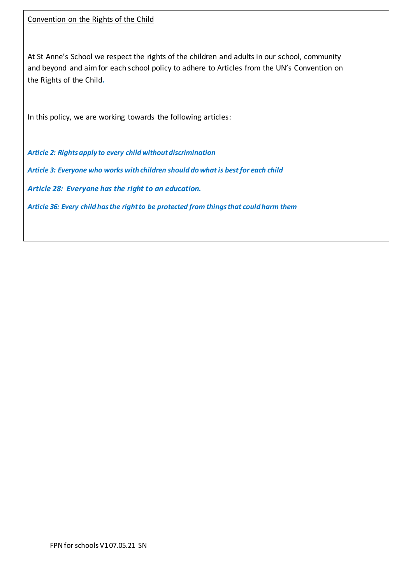At St Anne's School we respect the rights of the children and adults in our school, community and beyond and aim for each school policy to adhere to Articles from the UN's Convention on the Rights of the Child*.* 

In this policy, we are working towards the following articles:

*Article 2: Rights apply to every child without discrimination*

*Article 3: Everyone who works with children should do what is best for each child*

*Article 28: Everyone has the right to an education.*

*Article 36: Every child has the right to be protected from things that could harm them*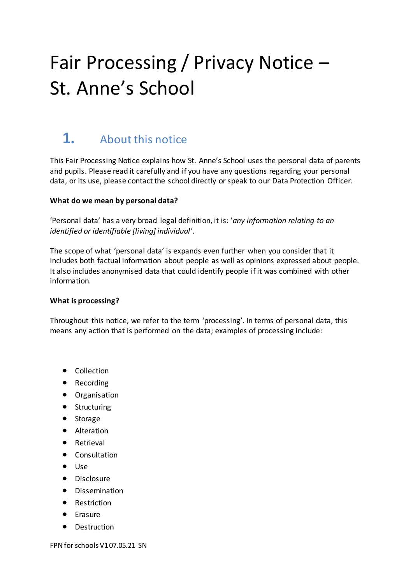## Fair Processing / Privacy Notice – St. Anne's School

## **1.** About this notice

This Fair Processing Notice explains how St. Anne's School uses the personal data of parents and pupils. Please read it carefully and if you have any questions regarding your personal data, or its use, please contact the school directly or speak to our Data Protection Officer.

#### **What do we mean by personal data?**

'Personal data' has a very broad legal definition, it is: '*any information relating to an identified or identifiable [living] individual'*.

The scope of what 'personal data' is expands even further when you consider that it includes both factual information about people as well as opinions expressed about people. It also includes anonymised data that could identify people if it was combined with other information.

#### **What is processing?**

Throughout this notice, we refer to the term 'processing'. In terms of personal data, this means any action that is performed on the data; examples of processing include:

- Collection
- Recording
- Organisation
- Structuring
- Storage
- Alteration
- Retrieval
- Consultation
- Use
- Disclosure
- **•** Dissemination
- Restriction
- **•** Erasure
- Destruction

FPN for schools V1 07.05.21 SN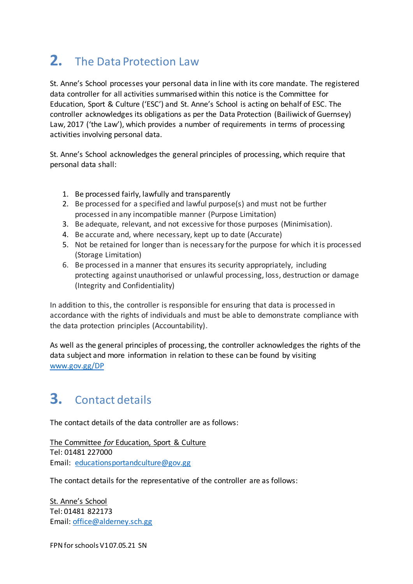## **2.** The Data Protection Law

St. Anne's School processes your personal data in line with its core mandate. The registered data controller for all activities summarised within this notice is the Committee for Education, Sport & Culture ('ESC') and St. Anne's School is acting on behalf of ESC. The controller acknowledges its obligations as per the Data Protection (Bailiwick of Guernsey) Law, 2017 ('the Law'), which provides a number of requirements in terms of processing activities involving personal data.

St. Anne's School acknowledges the general principles of processing, which require that personal data shall:

- 1. Be processed fairly, lawfully and transparently
- 2. Be processed for a specified and lawful purpose(s) and must not be further processed in any incompatible manner (Purpose Limitation)
- 3. Be adequate, relevant, and not excessive for those purposes (Minimisation).
- 4. Be accurate and, where necessary, kept up to date (Accurate)
- 5. Not be retained for longer than is necessary for the purpose for which it is processed (Storage Limitation)
- 6. Be processed in a manner that ensures its security appropriately, including protecting against unauthorised or unlawful processing, loss, destruction or damage (Integrity and Confidentiality)

In addition to this, the controller is responsible for ensuring that data is processed in accordance with the rights of individuals and must be able to demonstrate compliance with the data protection principles (Accountability).

As well as the general principles of processing, the controller acknowledges the rights of the data subject and more information in relation to these can be found by visiting [www.gov.gg/DP](http://www.gov.gg/DP)

## **3.** Contact details

The contact details of the data controller are as follows:

The Committee *for* Education, Sport & Culture Tel: 01481 227000 Email: [educationsportandculture@gov.gg](mailto:educationsportandculture@gov.gg)

The contact details for the representative of the controller are as follows:

St. Anne's School Tel: 01481 822173 Email: office@alderney.sch.gg

FPN for schools V1 07.05.21 SN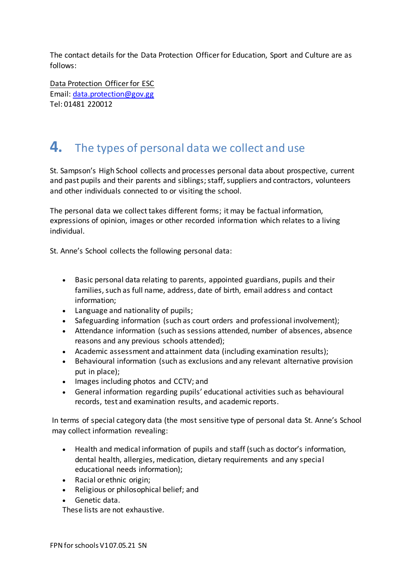The contact details for the Data Protection Officer for Education, Sport and Culture are as follows:

Data Protection Officer for ESC Email[: data.protection@gov.gg](mailto:data.protection@gov.gg) Tel: 01481 220012

#### **4.** The types of personal data we collect and use

St. Sampson's High School collects and processes personal data about prospective, current and past pupils and their parents and siblings; staff, suppliers and contractors, volunteers and other individuals connected to or visiting the school.

The personal data we collect takes different forms; it may be factual information, expressions of opinion, images or other recorded information which relates to a living individual.

St. Anne's School collects the following personal data:

- Basic personal data relating to parents, appointed guardians, pupils and their families, such as full name, address, date of birth, email address and contact information;
- Language and nationality of pupils;
- Safeguarding information (such as court orders and professional involvement);
- Attendance information (such as sessions attended, number of absences, absence reasons and any previous schools attended);
- Academic assessment and attainment data (including examination results);
- Behavioural information (such as exclusions and any relevant alternative provision put in place);
- Images including photos and CCTV; and
- General information regarding pupils' educational activities such as behavioural records, test and examination results, and academic reports.

In terms of special category data (the most sensitive type of personal data St. Anne's School may collect information revealing:

- Health and medical information of pupils and staff (such as doctor's information, dental health, allergies, medication, dietary requirements and any special educational needs information);
- Racial or ethnic origin;
- Religious or philosophical belief; and
- Genetic data.

These lists are not exhaustive.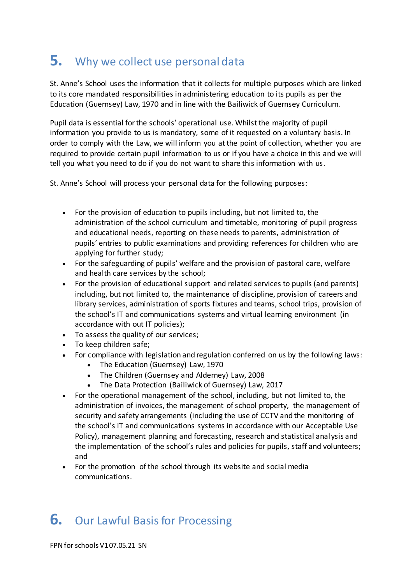#### **5.** Why we collect use personal data

St. Anne's School uses the information that it collects for multiple purposes which are linked to its core mandated responsibilities in administering education to its pupils as per the Education (Guernsey) Law, 1970 and in line with the Bailiwick of Guernsey Curriculum.

Pupil data is essential for the schools' operational use. Whilst the majority of pupil information you provide to us is mandatory, some of it requested on a voluntary basis. In order to comply with the Law, we will inform you at the point of collection, whether you are required to provide certain pupil information to us or if you have a choice in this and we will tell you what you need to do if you do not want to share this information with us.

St. Anne's School will process your personal data for the following purposes:

- For the provision of education to pupils including, but not limited to, the administration of the school curriculum and timetable, monitoring of pupil progress and educational needs, reporting on these needs to parents, administration of pupils' entries to public examinations and providing references for children who are applying for further study;
- For the safeguarding of pupils' welfare and the provision of pastoral care, welfare and health care services by the school;
- For the provision of educational support and related services to pupils (and parents) including, but not limited to, the maintenance of discipline, provision of careers and library services, administration of sports fixtures and teams, school trips, provision of the school's IT and communications systems and virtual learning environment (in accordance with out IT policies);
- To assess the quality of our services;
- To keep children safe;
- For compliance with legislation and regulation conferred on us by the following laws:
	- The Education (Guernsey) Law, 1970
	- The Children (Guernsey and Alderney) Law, 2008
	- The Data Protection (Bailiwick of Guernsey) Law, 2017
- For the operational management of the school, including, but not limited to, the administration of invoices, the management of school property, the management of security and safety arrangements (including the use of CCTV and the monitoring of the school's IT and communications systems in accordance with our Acceptable Use Policy), management planning and forecasting, research and statistical analysis and the implementation of the school's rules and policies for pupils, staff and volunteers; and
- For the promotion of the school through its website and social media communications.

#### **6.** Our Lawful Basis for Processing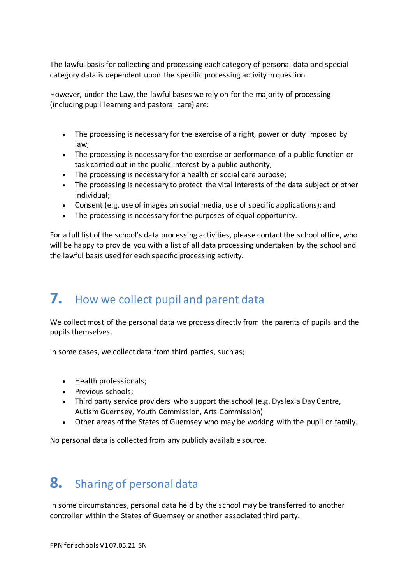The lawful basis for collecting and processing each category of personal data and special category data is dependent upon the specific processing activity in question.

However, under the Law, the lawful bases we rely on for the majority of processing (including pupil learning and pastoral care) are:

- The processing is necessary for the exercise of a right, power or duty imposed by law;
- The processing is necessary for the exercise or performance of a public function or task carried out in the public interest by a public authority;
- The processing is necessary for a health or social care purpose;
- The processing is necessary to protect the vital interests of the data subject or other individual;
- Consent (e.g. use of images on social media, use of specific applications); and
- The processing is necessary for the purposes of equal opportunity.

For a full list of the school's data processing activities, please contact the school office, who will be happy to provide you with a list of all data processing undertaken by the school and the lawful basis used for each specific processing activity.

#### **7.** How we collect pupil and parent data

We collect most of the personal data we process directly from the parents of pupils and the pupils themselves.

In some cases, we collect data from third parties, such as;

- Health professionals;
- Previous schools;
- Third party service providers who support the school (e.g. Dyslexia Day Centre, Autism Guernsey, Youth Commission, Arts Commission)
- Other areas of the States of Guernsey who may be working with the pupil or family.

No personal data is collected from any publicly available source.

### **8.** Sharing of personal data

In some circumstances, personal data held by the school may be transferred to another controller within the States of Guernsey or another associated third party.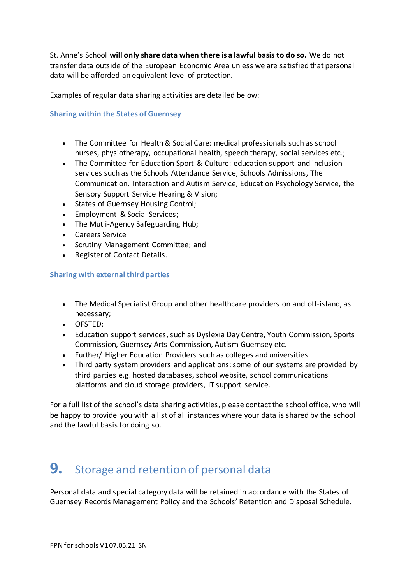St. Anne's School **will only share data when there is a lawful basis to do so.** We do not transfer data outside of the European Economic Area unless we are satisfied that personal data will be afforded an equivalent level of protection.

Examples of regular data sharing activities are detailed below:

#### **Sharing within the States of Guernsey**

- The Committee for Health & Social Care: medical professionals such as school nurses, physiotherapy, occupational health, speech therapy, social services etc.;
- The Committee for Education Sport & Culture: education support and inclusion services such as the Schools Attendance Service, Schools Admissions, The Communication, Interaction and Autism Service, Education Psychology Service, the Sensory Support Service Hearing & Vision;
- States of Guernsey Housing Control;
- Employment & Social Services;
- The Mutli-Agency Safeguarding Hub;
- Careers Service
- Scrutiny Management Committee; and
- Register of Contact Details.

#### **Sharing with external third parties**

- The Medical Specialist Group and other healthcare providers on and off-island, as necessary;
- OFSTED;
- Education support services, such as Dyslexia Day Centre, Youth Commission, Sports Commission, Guernsey Arts Commission, Autism Guernsey etc.
- Further/ Higher Education Providers such as colleges and universities
- Third party system providers and applications: some of our systems are provided by third parties e.g. hosted databases, school website, school communications platforms and cloud storage providers, IT support service.

For a full list of the school's data sharing activities, please contact the school office, who will be happy to provide you with a list of all instances where your data is shared by the school and the lawful basis for doing so.

#### **9.** Storage and retention of personal data

Personal data and special category data will be retained in accordance with the States of Guernsey Records Management Policy and the Schools' Retention and Disposal Schedule.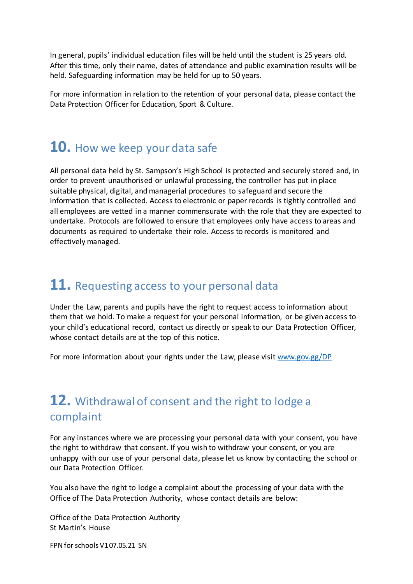In general, pupils' individual education files will be held until the student is 25 years old. After this time, only their name, dates of attendance and public examination results will be held. Safeguarding information may be held for up to 50 years.

For more information in relation to the retention of your personal data, please contact the Data Protection Officer for Education, Sport & Culture.

#### **10.** How we keep your data safe

All personal data held by St. Sampson's High School is protected and securely stored and, in order to prevent unauthorised or unlawful processing, the controller has put in place suitable physical, digital, and managerial procedures to safeguard and secure the information that is collected. Access to electronic or paper records is tightly controlled and all employees are vetted in a manner commensurate with the role that they are expected to undertake. Protocols are followed to ensure that employees only have access to areas and documents as required to undertake their role. Access to records is monitored and effectively managed.

#### **11.** Requesting access to your personal data

Under the Law, parents and pupils have the right to request access to information about them that we hold. To make a request for your personal information, or be given access to your child's educational record, contact us directly or speak to our Data Protection Officer, whose contact details are at the top of this notice.

For more information about your rights under the Law, please visi[t www.gov.gg/DP](http://www.gov.gg/DP)

#### **12.** Withdrawal of consent and the right to lodge a complaint

For any instances where we are processing your personal data with your consent, you have the right to withdraw that consent. If you wish to withdraw your consent, or you are unhappy with our use of your personal data, please let us know by contacting the school or our Data Protection Officer.

You also have the right to lodge a complaint about the processing of your data with the Office of The Data Protection Authority, whose contact details are below:

Office of the Data Protection Authority St Martin's House

FPN for schools V1 07.05.21 SN